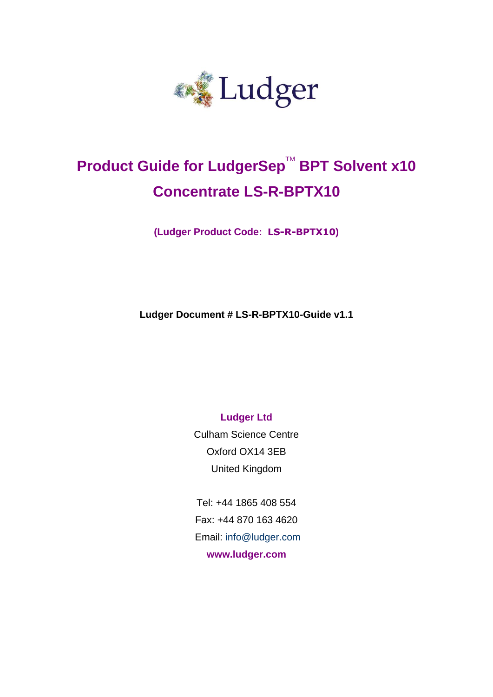

# **Product Guide for LudgerSep™ BPT Solvent x10 Concentrate LS-R-BPTX10**

**(Ludger Product Code: LS-R-BPTX10)**

**Ludger Document # LS-R-BPTX10-Guide v1.1**

**Ludger Ltd**

Culham Science Centre Oxford OX14 3EB United Kingdom

Tel: +44 1865 408 554 Fax: +44 870 163 4620 Email: info@ludger.com **www.ludger.com**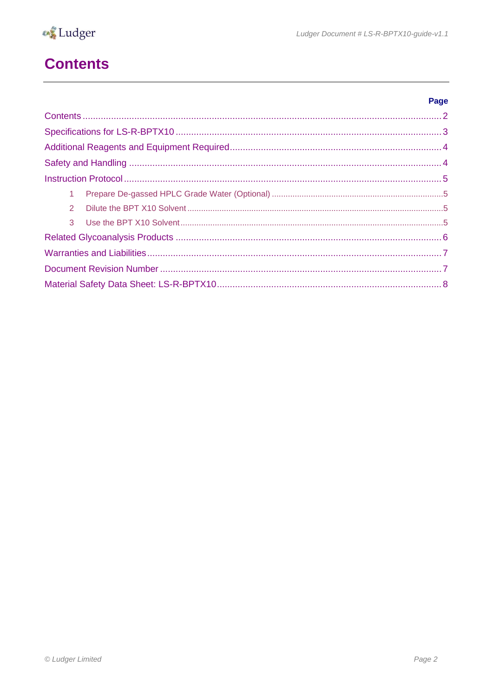# <span id="page-1-0"></span>**Contents**

| $\mathbf{1}$ |  |  |
|--------------|--|--|
| 2            |  |  |
|              |  |  |
|              |  |  |
|              |  |  |
|              |  |  |
|              |  |  |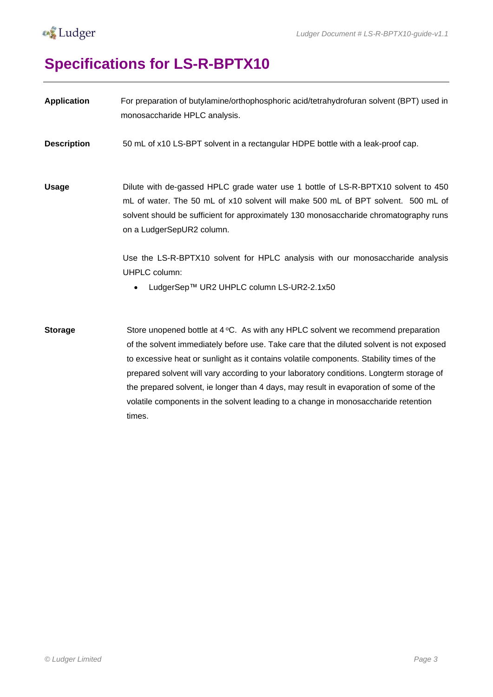

# <span id="page-2-0"></span>**Specifications for LS-R-BPTX10**

| <b>Application</b> | For preparation of butylamine/orthophosphoric acid/tetrahydrofuran solvent (BPT) used in<br>monosaccharide HPLC analysis.                                                                                                                                                                                                                                                                                                                                                                                                                                            |
|--------------------|----------------------------------------------------------------------------------------------------------------------------------------------------------------------------------------------------------------------------------------------------------------------------------------------------------------------------------------------------------------------------------------------------------------------------------------------------------------------------------------------------------------------------------------------------------------------|
| <b>Description</b> | 50 mL of x10 LS-BPT solvent in a rectangular HDPE bottle with a leak-proof cap.                                                                                                                                                                                                                                                                                                                                                                                                                                                                                      |
| <b>Usage</b>       | Dilute with de-gassed HPLC grade water use 1 bottle of LS-R-BPTX10 solvent to 450<br>mL of water. The 50 mL of x10 solvent will make 500 mL of BPT solvent. 500 mL of<br>solvent should be sufficient for approximately 130 monosaccharide chromatography runs<br>on a LudgerSepUR2 column.                                                                                                                                                                                                                                                                          |
|                    | Use the LS-R-BPTX10 solvent for HPLC analysis with our monosaccharide analysis<br>UHPLC column:<br>LudgerSep™ UR2 UHPLC column LS-UR2-2.1x50                                                                                                                                                                                                                                                                                                                                                                                                                         |
| <b>Storage</b>     | Store unopened bottle at $4\degree$ C. As with any HPLC solvent we recommend preparation<br>of the solvent immediately before use. Take care that the diluted solvent is not exposed<br>to excessive heat or sunlight as it contains volatile components. Stability times of the<br>prepared solvent will vary according to your laboratory conditions. Longterm storage of<br>the prepared solvent, ie longer than 4 days, may result in evaporation of some of the<br>volatile components in the solvent leading to a change in monosaccharide retention<br>times. |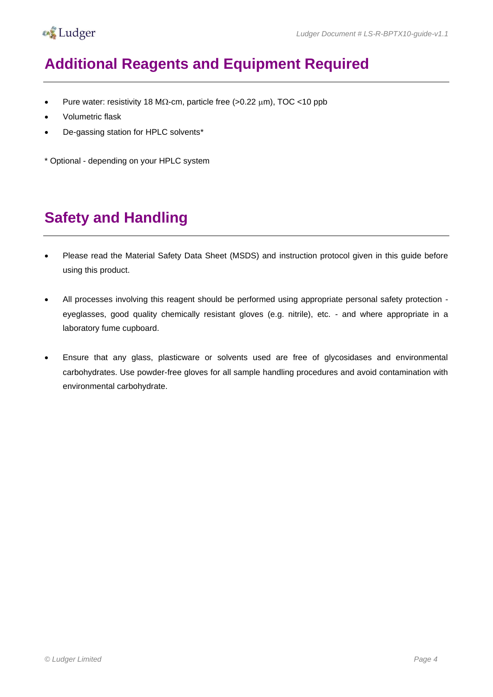

## <span id="page-3-0"></span>**Additional Reagents and Equipment Required**

- Pure water: resistivity 18 M $\Omega$ -cm, particle free (>0.22  $\mu$ m), TOC <10 ppb
- Volumetric flask
- De-gassing station for HPLC solvents\*
- \* Optional depending on your HPLC system

## <span id="page-3-1"></span>**Safety and Handling**

- Please read the Material Safety Data Sheet (MSDS) and instruction protocol given in this guide before using this product.
- All processes involving this reagent should be performed using appropriate personal safety protection eyeglasses, good quality chemically resistant gloves (e.g. nitrile), etc. - and where appropriate in a laboratory fume cupboard.
- Ensure that any glass, plasticware or solvents used are free of glycosidases and environmental carbohydrates. Use powder-free gloves for all sample handling procedures and avoid contamination with environmental carbohydrate.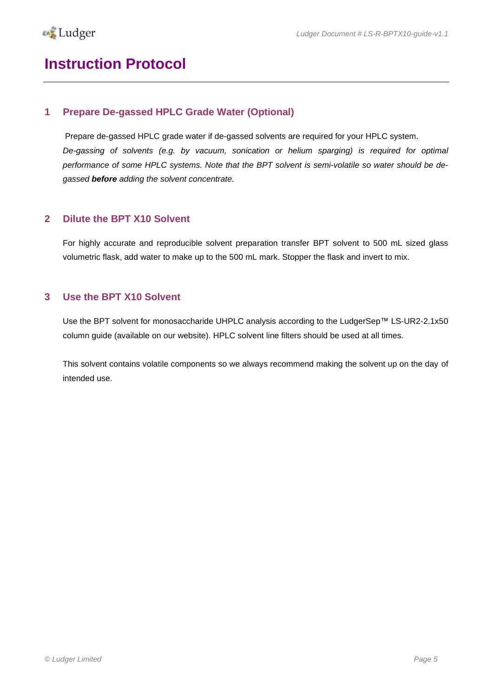### <span id="page-4-0"></span>**Instruction Protocol**

#### <span id="page-4-1"></span>**1 Prepare De-gassed HPLC Grade Water (Optional)**

Prepare de-gassed HPLC grade water if de-gassed solvents are required for your HPLC system. *De-gassing of solvents (e.g. by vacuum, sonication or helium sparging) is required for optimal performance of some HPLC systems. Note that the BPT solvent is semi-volatile so water should be degassed before adding the solvent concentrate.* 

#### <span id="page-4-2"></span>**2 Dilute the BPT X10 Solvent**

For highly accurate and reproducible solvent preparation transfer BPT solvent to 500 mL sized glass volumetric flask, add water to make up to the 500 mL mark. Stopper the flask and invert to mix.

#### <span id="page-4-3"></span>**3 Use the BPT X10 Solvent**

Use the BPT solvent for monosaccharide UHPLC analysis according to the LudgerSep™ LS-UR2-2.1x50 column guide (available on our website). HPLC solvent line filters should be used at all times.

This solvent contains volatile components so we always recommend making the solvent up on the day of intended use.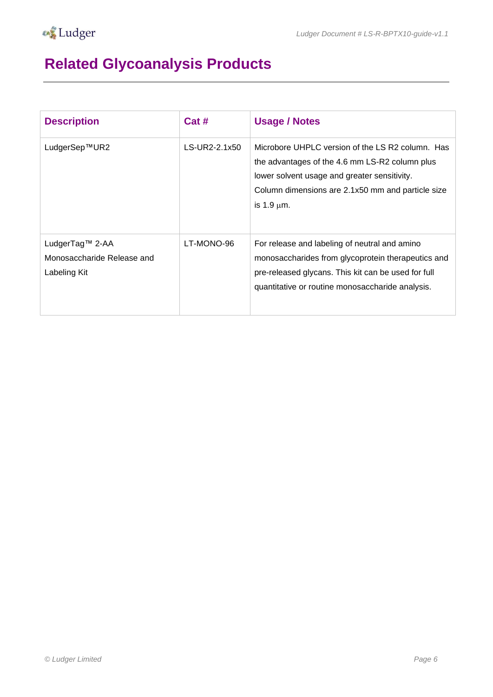# <span id="page-5-0"></span>**Related Glycoanalysis Products**

| <b>Description</b>                                            | Cat #         | <b>Usage / Notes</b>                                                                                                                                                                                                       |
|---------------------------------------------------------------|---------------|----------------------------------------------------------------------------------------------------------------------------------------------------------------------------------------------------------------------------|
| LudgerSep™UR2                                                 | LS-UR2-2.1x50 | Microbore UHPLC version of the LS R2 column. Has<br>the advantages of the 4.6 mm LS-R2 column plus<br>lower solvent usage and greater sensitivity.<br>Column dimensions are 2.1x50 mm and particle size<br>is 1.9 $\mu$ m. |
| LudgerTag™ 2-AA<br>Monosaccharide Release and<br>Labeling Kit | LT-MONO-96    | For release and labeling of neutral and amino<br>monosaccharides from glycoprotein therapeutics and<br>pre-released glycans. This kit can be used for full<br>quantitative or routine monosaccharide analysis.             |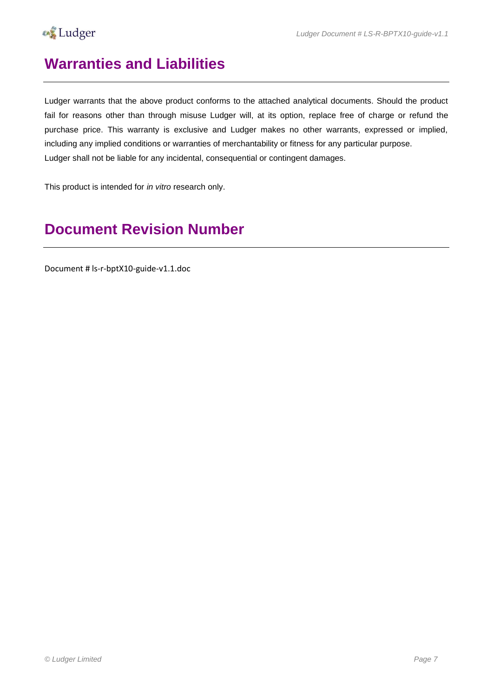

### <span id="page-6-0"></span>**Warranties and Liabilities**

Ludger warrants that the above product conforms to the attached analytical documents. Should the product fail for reasons other than through misuse Ludger will, at its option, replace free of charge or refund the purchase price. This warranty is exclusive and Ludger makes no other warrants, expressed or implied, including any implied conditions or warranties of merchantability or fitness for any particular purpose. Ludger shall not be liable for any incidental, consequential or contingent damages.

This product is intended for *in vitro* research only.

## <span id="page-6-1"></span>**Document Revision Number**

Document # ls-r-bptX10-guide-v1.1.doc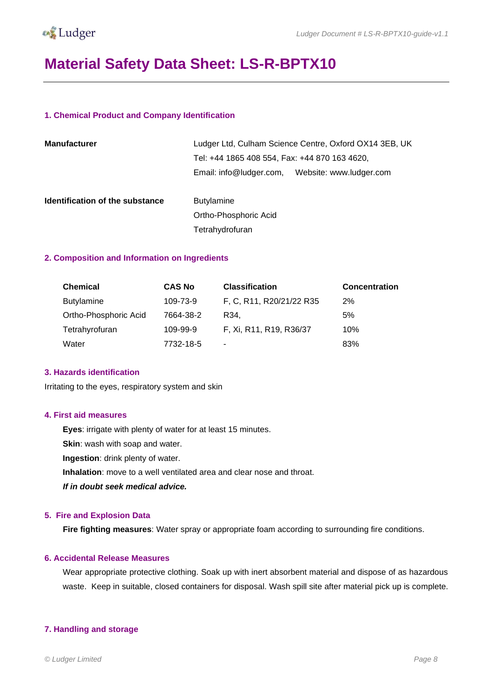

### <span id="page-7-0"></span>**Material Safety Data Sheet: LS-R-BPTX10**

#### **1. Chemical Product and Company Identification**

| <b>Manufacturer</b>             | Ludger Ltd, Culham Science Centre, Oxford OX14 3EB, UK<br>Tel: +44 1865 408 554, Fax: +44 870 163 4620, |                         |  |
|---------------------------------|---------------------------------------------------------------------------------------------------------|-------------------------|--|
|                                 | Email: info@ludger.com,                                                                                 | Website: www.ludger.com |  |
| Identification of the substance | <b>Butylamine</b>                                                                                       |                         |  |
|                                 | Ortho-Phosphoric Acid                                                                                   |                         |  |
|                                 | Tetrahydrofuran                                                                                         |                         |  |

#### **2. Composition and Information on Ingredients**

| <b>Chemical</b>       | <b>CAS No</b> | <b>Classification</b>    | <b>Concentration</b> |
|-----------------------|---------------|--------------------------|----------------------|
| <b>Butylamine</b>     | 109-73-9      | F, C, R11, R20/21/22 R35 | 2%                   |
| Ortho-Phosphoric Acid | 7664-38-2     | R34.                     | 5%                   |
| Tetrahyrofuran        | 109-99-9      | F, Xi, R11, R19, R36/37  | 10%                  |
| Water                 | 7732-18-5     | ٠                        | 83%                  |

#### **3. Hazards identification**

Irritating to the eyes, respiratory system and skin

#### **4. First aid measures**

**Eyes**: irrigate with plenty of water for at least 15 minutes.

**Skin**: wash with soap and water.

**Ingestion**: drink plenty of water.

**Inhalation**: move to a well ventilated area and clear nose and throat.

*If in doubt seek medical advice.*

#### **5. Fire and Explosion Data**

**Fire fighting measures**: Water spray or appropriate foam according to surrounding fire conditions.

#### **6. Accidental Release Measures**

Wear appropriate protective clothing. Soak up with inert absorbent material and dispose of as hazardous waste. Keep in suitable, closed containers for disposal. Wash spill site after material pick up is complete.

#### **7. Handling and storage**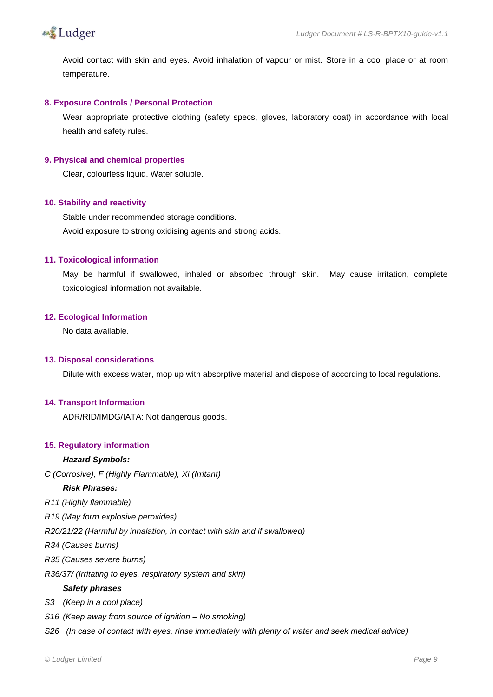

Avoid contact with skin and eyes. Avoid inhalation of vapour or mist. Store in a cool place or at room temperature.

#### **8. Exposure Controls / Personal Protection**

Wear appropriate protective clothing (safety specs, gloves, laboratory coat) in accordance with local health and safety rules.

#### **9. Physical and chemical properties**

Clear, colourless liquid. Water soluble.

#### **10. Stability and reactivity**

Stable under recommended storage conditions. Avoid exposure to strong oxidising agents and strong acids.

#### **11. Toxicological information**

May be harmful if swallowed, inhaled or absorbed through skin. May cause irritation, complete toxicological information not available.

#### **12. Ecological Information**

No data available.

#### **13. Disposal considerations**

Dilute with excess water, mop up with absorptive material and dispose of according to local regulations.

#### **14. Transport Information**

ADR/RID/IMDG/IATA: Not dangerous goods.

#### **15. Regulatory information**

#### *Hazard Symbols:*

*C (Corrosive), F (Highly Flammable), Xi (Irritant)*

#### *Risk Phrases:*

- *R11 (Highly flammable)*
- *R19 (May form explosive peroxides)*

*R20/21/22 (Harmful by inhalation, in contact with skin and if swallowed)*

*R34 (Causes burns)*

*R35 (Causes severe burns)*

*R36/37/ (Irritating to eyes, respiratory system and skin)*

#### *Safety phrases*

- *S3 (Keep in a cool place)*
- *S16 (Keep away from source of ignition – No smoking)*

*S26 (In case of contact with eyes, rinse immediately with plenty of water and seek medical advice)*